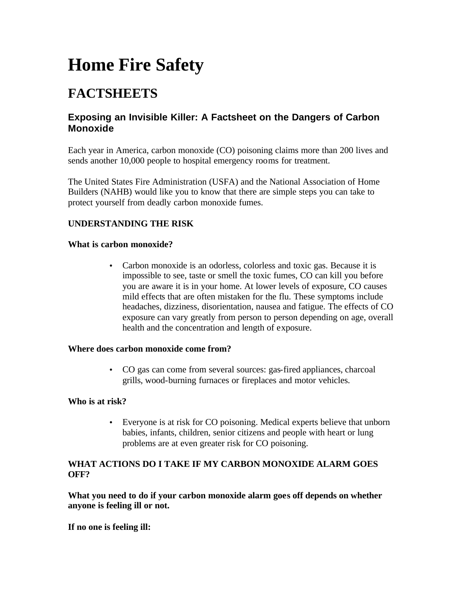# **Home Fire Safety**

# **FACTSHEETS**

# **Exposing an Invisible Killer: A Factsheet on the Dangers of Carbon Monoxide**

Each year in America, carbon monoxide (CO) poisoning claims more than 200 lives and sends another 10,000 people to hospital emergency rooms for treatment.

The United States Fire Administration (USFA) and the National Association of Home Builders (NAHB) would like you to know that there are simple steps you can take to protect yourself from deadly carbon monoxide fumes.

## **UNDERSTANDING THE RISK**

#### **What is carbon monoxide?**

• Carbon monoxide is an odorless, colorless and toxic gas. Because it is impossible to see, taste or smell the toxic fumes, CO can kill you before you are aware it is in your home. At lower levels of exposure, CO causes mild effects that are often mistaken for the flu. These symptoms include headaches, dizziness, disorientation, nausea and fatigue. The effects of CO exposure can vary greatly from person to person depending on age, overall health and the concentration and length of exposure.

#### **Where does carbon monoxide come from?**

• CO gas can come from several sources: gas-fired appliances, charcoal grills, wood-burning furnaces or fireplaces and motor vehicles.

#### **Who is at risk?**

• Everyone is at risk for CO poisoning. Medical experts believe that unborn babies, infants, children, senior citizens and people with heart or lung problems are at even greater risk for CO poisoning.

#### **WHAT ACTIONS DO I TAKE IF MY CARBON MONOXIDE ALARM GOES OFF?**

**What you need to do if your carbon monoxide alarm goes off depends on whether anyone is feeling ill or not.**

**If no one is feeling ill:**